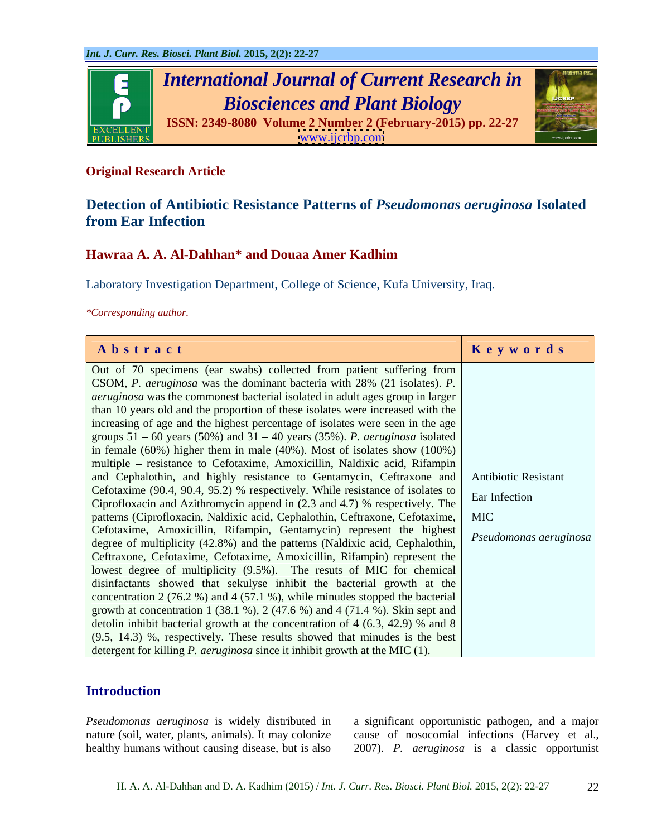

## **Original Research Article**

# **Detection of Antibiotic Resistance Patterns of** *Pseudomonas aeruginosa* **Isolated from Ear Infection**

# **Hawraa A. A. Al-Dahhan\* and Douaa Amer Kadhim**

Laboratory Investigation Department, College of Science, Kufa University, Iraq.

*\*Corresponding author.*

| Abstract                                                                                                                                                                  | Keywords               |
|---------------------------------------------------------------------------------------------------------------------------------------------------------------------------|------------------------|
| Out of 70 specimens (ear swabs) collected from patient suffering from                                                                                                     |                        |
| CSOM, P. aeruginosa was the dominant bacteria with 28% (21 isolates). P.                                                                                                  |                        |
| <i>aeruginosa</i> was the commonest bacterial isolated in adult ages group in larger                                                                                      |                        |
| than 10 years old and the proportion of these isolates were increased with the                                                                                            |                        |
| increasing of age and the highest percentage of isolates were seen in the age                                                                                             |                        |
| groups $51 - 60$ years (50%) and $31 - 40$ years (35%). P. <i>aeruginosa</i> isolated                                                                                     |                        |
| in female (60%) higher them in male (40%). Most of isolates show $(100\%)$                                                                                                |                        |
| multiple – resistance to Cefotaxime, Amoxicillin, Naldixic acid, Rifampin                                                                                                 |                        |
| and Cephalothin, and highly resistance to Gentamycin, Ceftraxone and Antibiotic Resistant                                                                                 |                        |
| Cefotaxime (90.4, 90.4, 95.2) % respectively. While resistance of isolates to Ear Infection<br>Ciprofloxacin and Azithromycin append in (2.3 and 4.7) % respectively. The |                        |
| patterns (Ciprofloxacin, Naldixic acid, Cephalothin, Ceftraxone, Cefotaxime,   MIC                                                                                        |                        |
| Cefotaxime, Amoxicillin, Rifampin, Gentamycin) represent the highest                                                                                                      |                        |
| degree of multiplicity (42.8%) and the patterns (Naldixic acid, Cephalothin,                                                                                              | Pseudomonas aeruginosa |
| Ceftraxone, Cefotaxime, Cefotaxime, Amoxicillin, Rifampin) represent the                                                                                                  |                        |
| lowest degree of multiplicity (9.5%). The resuts of MIC for chemical                                                                                                      |                        |
| disinfactants showed that sekulyse inhibit the bacterial growth at the                                                                                                    |                        |
| concentration 2 (76.2 %) and 4 (57.1 %), while minudes stopped the bacterial                                                                                              |                        |
| growth at concentration 1 (38.1 %), 2 (47.6 %) and 4 (71.4 %). Skin sept and                                                                                              |                        |
| detolin inhibit bacterial growth at the concentration of 4 (6.3, 42.9) % and 8                                                                                            |                        |
| $(9.5, 14.3)$ %, respectively. These results showed that minudes is the best                                                                                              |                        |
| detergent for killing P. aeruginosa since it inhibit growth at the MIC (1).                                                                                               |                        |

# **Introduction**

*Pseudomonas aeruginosa* is widely distributed in a significant opportunistic pathogen, and a major nature (soil, water, plants, animals). It may colonize cause of nosocomial infections (Harvey et al.,

healthy humans without causing disease, but is also 2007). *P. aeruginosa* is a classic opportunist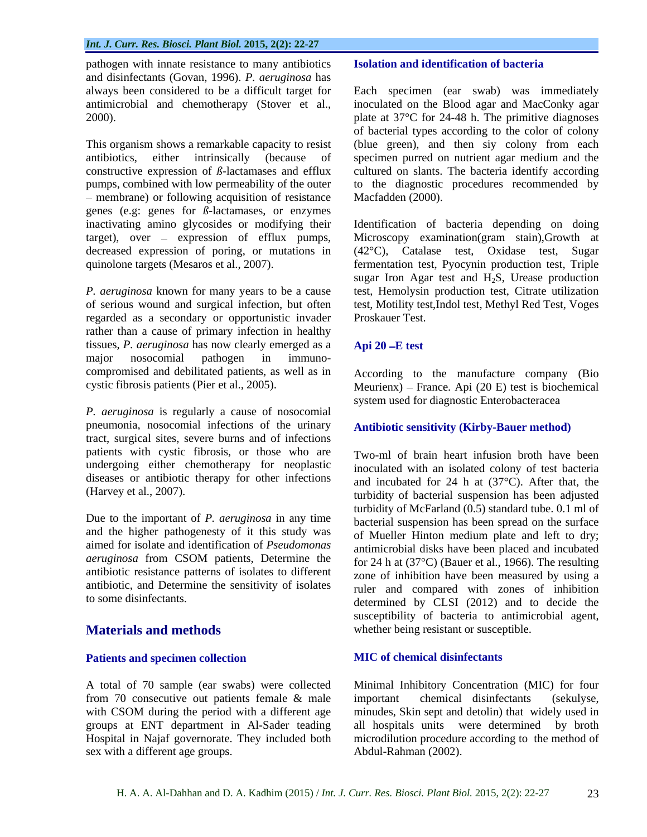pathogen with innate resistance to many antibiotics and disinfectants (Govan, 1996). *P. aeruginosa* has

constructive expression of *ß*-lactamases and efflux – membrane) or following acquisition of resistance genes (e.g: genes for *ß*-lactamases, or enzymes decreased expression of poring, or mutations in

regarded as a secondary or opportunistic invader rather than a cause of primary infection in healthy tissues, *P. aeruginosa* has now clearly emerged as a major nosocomial pathogen in immuno compromised and debilitated patients, as well as in According to the manufacture company (Bio

*P. aeruginosa* is regularly a cause of nosocomial pneumonia, nosocomial infections of the urinary tract, surgical sites, severe burns and of infections patients with cystic fibrosis, or those who are undergoing either chemotherapy for neoplastic diseases or antibiotic therapy for other infections

Due to the important of *P. aeruginosa* in any time and the higher pathogenesty of it this study was aimed for isolate and identification of *Pseudomonas aeruginosa* from CSOM patients, Determine the antibiotic resistance patterns of isolates to different antibiotic, and Determine the sensitivity of isolates

### **Patients and specimen collection**

from 70 consecutive out patients female & male important chemical disinfectants (sekulyse, sex with a different age groups.

### **Isolation and identification of bacteria**

always been considered to be a difficult target for Each specimen (ear swab) was immediately antimicrobial and chemotherapy (Stover et al., inoculated on the Blood agar and MacConky agar 2000).  $\qquad \qquad$  plate at 37°C for 24-48 h. The primitive diagnoses This organism shows a remarkable capacity to resist (blue green), and then siy colony from each antibiotics, either intrinsically (because of specimen purred on nutrient agar medium and the pumps, combined with low permeability of the outer to the diagnostic procedures recommended by of bacterial types according to the color of colony cultured on slants. The bacteria identify according Macfadden (2000).

inactivating amino glycosides or modifying their Identification of bacteria depending on doing target), over – expression of efflux pumps, Microscopy examination(gram stain),Growth at quinolone targets (Mesaros et al., 2007). fermentation test, Pyocynin production test, Triple *P. aeruginosa* known for many years to be a cause test, Hemolysin production test, Citrate utilization of serious wound and surgical infection, but often test, Motility test,Indol test, Methyl Red Test, Voges (42°C), Catalase test, Oxidase test, Sugar sugar Iron Agar test and  $H_2S$ , Urease production Proskauer Test.

### **Api 20 E test**

cystic fibrosis patients (Pier et al., 2005). Meurienx) – France. Api (20 E) test is biochemical system used for diagnostic Enterobacteracea

### **Antibiotic sensitivity (Kirby-Bauer method)**

(Harvey et al., 2007). turbidity of bacterial suspension has been adjusted to some disinfectants. determined by CLSI (2012) and to decide the **Materials and methods** whether being resistant or susceptible. Two-ml of brain heart infusion broth have been inoculated with an isolated colony of test bacteria and incubated for 24 h at (37°C). After that, the turbidity of McFarland (0.5) standard tube. 0.1 ml of bacterial suspension has been spread on the surface of Mueller Hinton medium plate and left to dry; antimicrobial disks have been placed and incubated for 24 h at (37°C) (Bauer et al., 1966). The resulting zone of inhibition have been measured by using a ruler and compared with zones of inhibition susceptibility of bacteria to antimicrobial agent,

### **MIC of chemical disinfectants**

A total of 70 sample (ear swabs) were collected Minimal Inhibitory Concentration (MIC) for four with CSOM during the period with a different age minudes, Skin sept and detolin) that widely used in groups at ENT department in Al-Sader teading all hospitals units were determined by broth Hospital in Najaf governorate. They included both microdilution procedure according to the method of important chemical disinfectants (sekulyse, Abdul-Rahman (2002).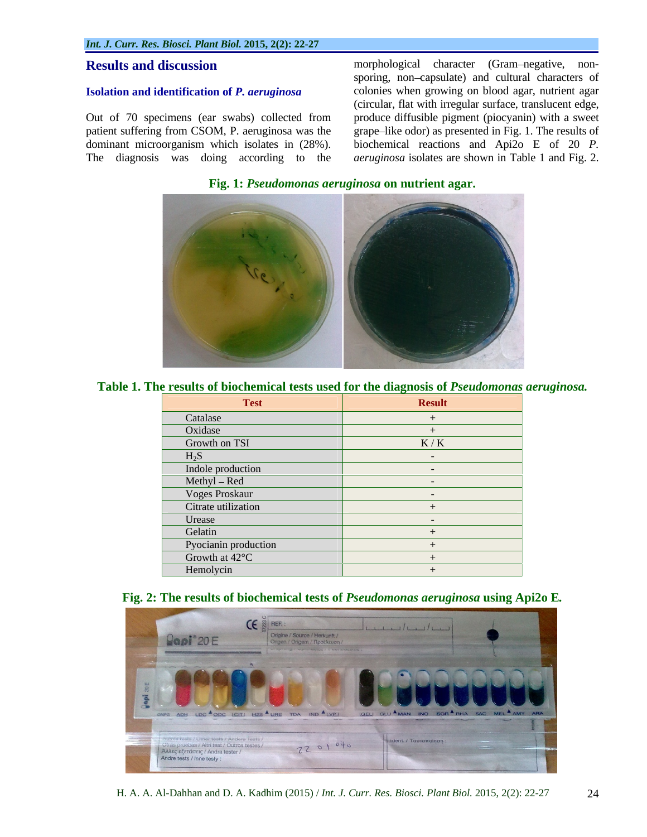#### **Isolation and identification of** *P. aeruginosa*

Out of 70 specimens (ear swabs) collected from patient suffering from CSOM, P. aeruginosa was the grape–like odor) as presented in Fig. 1. The results of dominant microorganism which isolates in (28%).

**Results and discussion** morphological character (Gram-negative, non-The diagnosis was doing according to the *aeruginosa* isolates are shown in Table 1 and Fig. 2. sporing, non-capsulate) and cultural characters of colonies when growing on blood agar, nutrient agar (circular, flat with irregular surface, translucent edge, produce diffusible pigment (piocyanin) with a sweet biochemical reactions and Api2o E of 20 *P.* 

**Fig. 1:** *Pseudomonas aeruginosa* **on nutrient agar.**



#### **Table 1. The results of biochemical tests used for the diagnosis of** *Pseudomonas aeruginosa.*

| <b>Test</b>                                      | <b>Result</b> |
|--------------------------------------------------|---------------|
| Catalase                                         |               |
| Oxidase                                          |               |
| Growth on TSI                                    | K/K           |
| $H_2S$                                           |               |
| Indole production                                |               |
| Methyl – Red                                     |               |
| Voges Proskaur                                   |               |
| Citrate utilization                              |               |
| Urease                                           |               |
| Gelatin                                          |               |
| Pyocianin production<br>Growth at $42^{\circ}$ C |               |
|                                                  |               |
| Hemolycin                                        |               |

#### **Fig. 2: The results of biochemical tests of** *Pseudomonas aeruginosa* **using Api2o E***.*

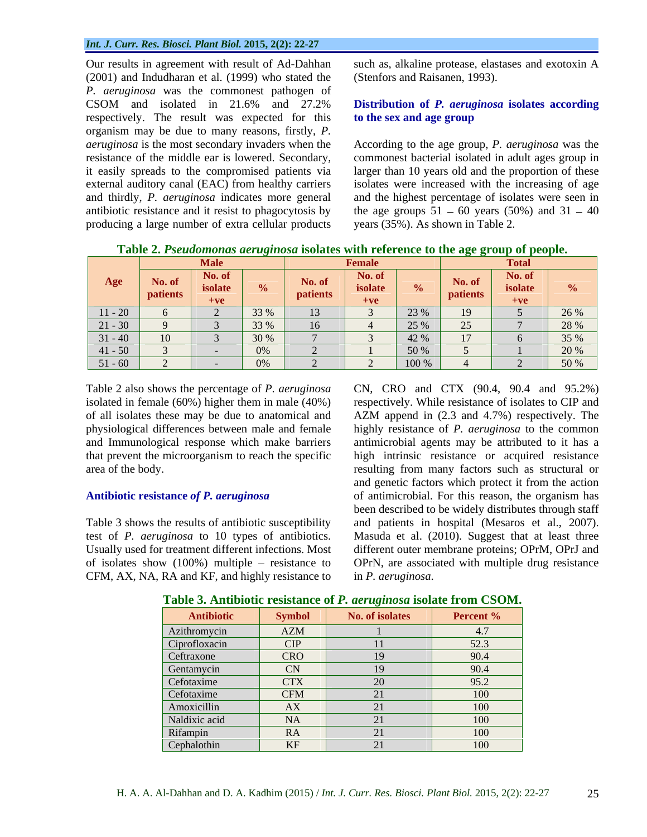#### *Int. J. Curr. Res. Biosci. Plant Biol.* **2015, 2(2): 22-27**

Our results in agreement with result of Ad-Dahhan such as, alkaline protease, elastases and exotoxin A (2001) and Indudharan et al. (1999) who stated the *P. aeruginosa* was the commonest pathogen of CSOM and isolated in 21.6% and 27.2% **Distribution of** *P. aeruginosa* **isolates according** respectively. The result was expected for this **to the sex and age group** organism may be due to many reasons, firstly, *P. aeruginosa* is the most secondary invaderswhen the According to theage group, *P. aeruginosa* was the resistance of the middle ear is lowered. Secondary, commonest bacterial isolated in adult ages group in it easily spreads to the compromised patients via larger than 10 years old and the proportion of these external auditory canal (EAC) from healthy carriers and thirdly, *P. aeruginosa* indicates more general antibiotic resistance and it resist to phagocytosis by the age groups  $51 - 60$  years (50%) and  $31 - 40$ producing a large number of extra cellular products

(Stenfors and Raisanen, 1993).

# **to the sex and age group**

isolates were increased with the increasing of age and the highest percentage of isolates were seen in years (35%). As shown in Table 2.

|                  | <b>Male</b> |                  | <b>Female</b> |  |  |
|------------------|-------------|------------------|---------------|--|--|
| Age              | $+ve$       |                  |               |  |  |
| $\setminus$ 11 - |             | $\sim$ 33 %      |               |  |  |
|                  |             |                  |               |  |  |
|                  |             | $\frac{1}{30\%}$ |               |  |  |
|                  |             |                  |               |  |  |
| 51.60            |             |                  |               |  |  |

**Table 2.** *Pseudomonas aeruginosa* **isolates with reference to the age group of people.**

Table 2 also shows the percentage of *P. aeruginosa* CN, CRO and CTX (90.4, 90.4 and 95.2%) isolated in female (60%) higher them in male (40%)

CFM, AX, NA, RA and KF, and highly resistance to

of all isolates these may be due to anatomical and AZM append in (2.3 and 4.7%) respectively. The physiological differences between male and female highly resistance of *P. aeruginosa* to the common and Immunological response which make barriers antimicrobial agents may be attributed to it has a that prevent the microorganism to reach the specific high intrinsic resistance or acquired resistance area of the body. resulting from many factors such as structural or **Antibiotic resistance** *of P. aeruginosa* of antimicrobial. For this reason, the organism has Table 3 shows the results of antibiotic susceptibility and patients in hospital (Mesaros et al., 2007). test of *P. aeruginosa* to 10 types of antibiotics. Masuda et al. (2010). Suggest that at least three Usually used for treatment different infections. Most different outer membrane proteins; OPrM, OPrJ and of isolates show (100%) multiple resistance to OPrN, are associated with multiple drug resistance respectively.While resistance of isolates to CIP and and genetic factors which protect it from the action been described to be widely distributes through staff in *P. aeruginosa*.

| Antibiotic            | mhol       | No. of isc | <b>Percent</b> % |
|-----------------------|------------|------------|------------------|
| Azithromycin          | AZM        |            |                  |
| Ciprofloxacin<br>____ | CIP        |            | 52.3             |
| Ceftraxone            | CRO        |            | 90.4             |
| Gentamycin            | CN C       |            | 90.4             |
| Cefotaxime            | <b>CTX</b> |            | $-952$           |
| Cefotaxime            | <b>CFM</b> |            |                  |
| Amoxicillin           | AX         |            | .                |
| Naldixic acid         | NA 1       |            |                  |
| Rifampin              | RA         |            |                  |
| Cephalothin           | KF         |            | 11 V V           |

#### **Table 3. Antibiotic resistance of** *P. aeruginosa* **isolate from CSOM.**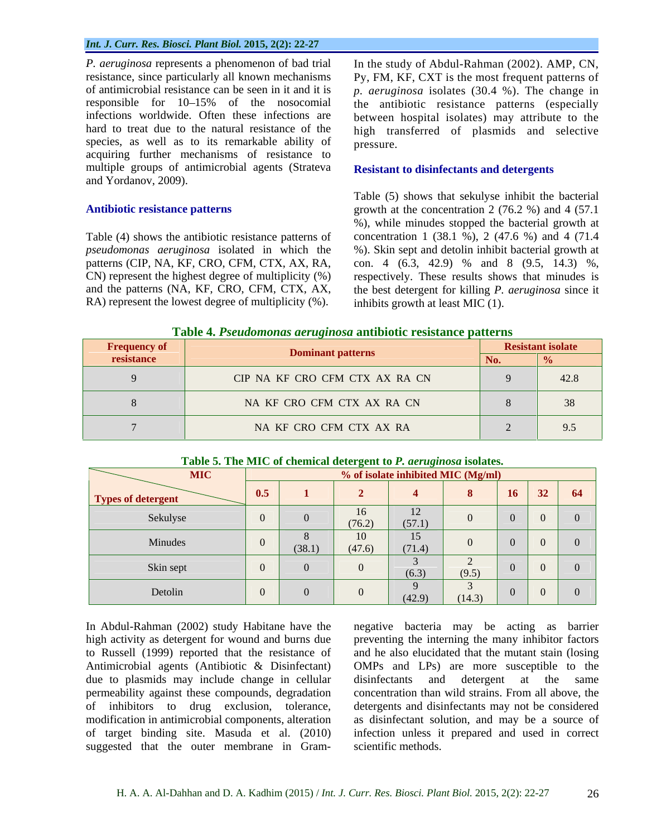*P. aeruginosa* represents a phenomenon of bad trial In the study of Abdul-Rahman (2002). AMP, CN, resistance, since particularly all known mechanisms Py, FM, KF, CXT is the most frequent patterns of of antimicrobial resistance can be seen in it and it is *p. aeruginosa* isolates (30.4 %). Thechange in responsible for 10–15% of the nosocomial the antibiotic resistance patterns (especially infections worldwide. Often these infections are between hospital isolates) may attribute to the hard to treat due to the natural resistance of the high transferred of plasmids and selective species, as well as to its remarkable ability of pressure. acquiring further mechanisms of resistance to multiple groups of antimicrobial agents (Strateva and Yordanov, 2009).

Table (4) shows the antibiotic resistance patterns of *pseudomonas aeruginosa* isolated in which the RA) represent the lowest degree of multiplicity (%).

pressure.

#### **Resistant to disinfectants and detergents**

Antibiotic resistance patterns **growth** at the concentration 2 (76.2 %) and 4 (57.1 patterns (CIP, NA, KF, CRO, CFM, CTX, AX, RA, con. 4 (6.3, 42.9) % and 8 (9.5, 14.3) %, CN) represent the highest degree of multiplicity (%) respectively. These results shows that minudes is and the patterns (NA, KF, CRO, CFM, CTX, AX, the best detergent for killing *P. aeruginosa* since it Table (5) shows that sekulyse inhibit the bacterial %), while minudes stopped the bacterial growth at concentration 1 (38.1 %), 2 (47.6 %) and 4 (71.4 %). Skin sept and detolin inhibit bacterial growth at inhibits growth at least MIC (1).

| <b>Frequency of</b> | Dominant patterns              | <b>Resistant isolate</b> |  |
|---------------------|--------------------------------|--------------------------|--|
|                     | CIP NA KF CRO CFM CTX AX RA CN | 42.0                     |  |
|                     | NA KF CRO CFM CTX AX RA CN     |                          |  |
|                     | NA KF CRO CFM CTX AX RA        | 95                       |  |

#### **Table 5. The MIC of chemical detergent to** *P. aeruginosa* **isolates.**

| <b>MIC</b>                | % of isolate inhibited MIC (Mg/ml) |        |              |                         |        |                |                 |    |  |  |  |
|---------------------------|------------------------------------|--------|--------------|-------------------------|--------|----------------|-----------------|----|--|--|--|
| <b>Types of detergent</b> | 0.5                                |        |              |                         |        | 16             | 32 <sup>°</sup> | 64 |  |  |  |
| Sekulyse                  |                                    |        | 16<br>(76.2) | 12<br>$\perp$<br>(57.1) |        | $\Omega$       | $\Omega$        |    |  |  |  |
| Minudes                   |                                    | (38.1) | 10<br>(47.6) | 15<br>(71.4)            |        | $\overline{0}$ | $\sqrt{0}$      |    |  |  |  |
| Skin sept                 |                                    |        |              | (6.3)                   | (9.5)  | $\Omega$       | $\overline{0}$  |    |  |  |  |
| Detolin                   |                                    |        |              | (42.9)                  | (14.3) | $\Omega$       | $\overline{0}$  |    |  |  |  |

In Abdul-Rahman (2002) study Habitane have the negative bacteria may be acting as barrier high activity as detergent for wound and burns due to Russell (1999) reported that the resistance of due to plasmids may include change in cellular disinfectants and detergent at the same

Antimicrobial agents (Antibiotic & Disinfectant) OMPs and LPs) are more susceptible to the permeability against these compounds, degradation concentration than wild strains. From all above, the of inhibitors to drug exclusion, tolerance, detergents and disinfectants may not be considered modification in antimicrobial components, alteration as disinfectant solution, and may be a source of of target binding site. Masuda et al. (2010) infection unless it prepared and used in correct In Abdul-Rahman (2002) study Habitane have the negative bacteria may be acting as barrier high activity as detergent for wound and burns due to pussell (1999) reported that the resistance of and he also elucidated that the preventing the interning the many inhibitor factors and he also elucidated that the mutant stain (losing disinfectants and detergent at the same scientific methods.